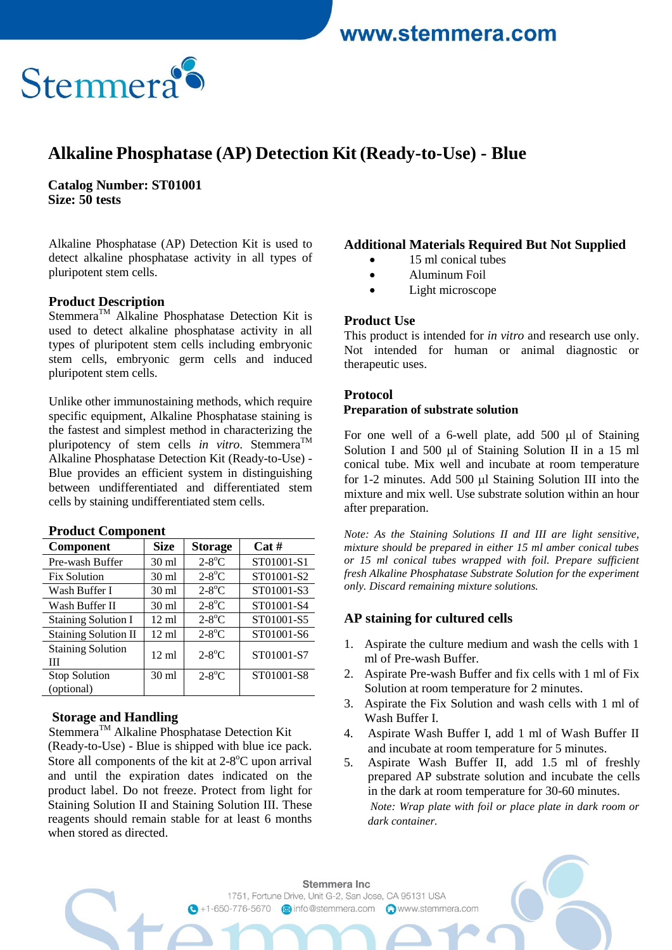# www.stemmera.com



## **Alkaline Phosphatase (AP) Detection Kit (Ready-to-Use) - Blue**

**Catalog Number: ST01001 Size: 50 tests**

Alkaline Phosphatase (AP) Detection Kit is used to detect alkaline phosphatase activity in all types of pluripotent stem cells.

#### **Product Description**

Stemmera<sup>™</sup> Alkaline Phosphatase Detection Kit is used to detect alkaline phosphatase activity in all types of pluripotent stem cells including embryonic stem cells, embryonic germ cells and induced pluripotent stem cells.

Unlike other immunostaining methods, which require specific equipment, Alkaline Phosphatase staining is the fastest and simplest method in characterizing the pluripotency of stem cells *in vitro*. Stemmera<sup>TM</sup> Alkaline Phosphatase Detection Kit (Ready-to-Use) - Blue provides an efficient system in distinguishing between undifferentiated and differentiated stem cells by staining undifferentiated stem cells.

## **Product Component**

| Component                     | <b>Size</b>     | <b>Storage</b>       | Cat#       |
|-------------------------------|-----------------|----------------------|------------|
| Pre-wash Buffer               | $30 \text{ ml}$ | $2-8$ °C             | ST01001-S1 |
| <b>Fix Solution</b>           | $30 \text{ ml}$ | $2-8$ °C             | ST01001-S2 |
| Wash Buffer I                 | $30 \text{ ml}$ | $2-8$ °C             | ST01001-S3 |
| Wash Buffer II                | $30 \text{ ml}$ | $2-8$ °C             | ST01001-S4 |
| <b>Staining Solution I</b>    | $12 \text{ ml}$ | $2-8$ °C             | ST01001-S5 |
| <b>Staining Solution II</b>   | $12 \text{ ml}$ | $2-8$ °C             | ST01001-S6 |
| <b>Staining Solution</b><br>Ш | $12 \text{ ml}$ | $2-8$ °C             | ST01001-S7 |
| <b>Stop Solution</b>          | $30 \text{ ml}$ | $2-8$ <sup>o</sup> C | ST01001-S8 |
| (optional)                    |                 |                      |            |

## **Storage and Handling**

Stemmera<sup>TM</sup> Alkaline Phosphatase Detection Kit (Ready-to-Use) - Blue is shipped with blue ice pack. Store all components of the kit at 2-8°C upon arrival and until the expiration dates indicated on the product label. Do not freeze. Protect from light for Staining Solution II and Staining Solution III. These reagents should remain stable for at least 6 months when stored as directed.

## **Additional Materials Required But Not Supplied**

- 15 ml conical tubes
- Aluminum Foil
- Light microscope

#### **Product Use**

This product is intended for *in vitro* and research use only. Not intended for human or animal diagnostic or therapeutic uses.

#### **Protocol**

#### **Preparation of substrate solution**

For one well of a 6-well plate, add  $500 \mu l$  of Staining Solution I and 500  $\mu$ l of Staining Solution II in a 15 ml conical tube. Mix well and incubate at room temperature for 1-2 minutes. Add 500  $\mu$ l Staining Solution III into the mixture and mix well. Use substrate solution within an hour after preparation.

*Note: As the Staining Solutions II and III are light sensitive, mixture should be prepared in either 15 ml amber conical tubes or 15 ml conical tubes wrapped with foil. Prepare sufficient fresh Alkaline Phosphatase Substrate Solution for the experiment only. Discard remaining mixture solutions.* 

## **AP staining for cultured cells**

- 1. Aspirate the culture medium and wash the cells with 1 ml of Pre-wash Buffer.
- 2. Aspirate Pre-wash Buffer and fix cells with 1 ml of Fix Solution at room temperature for 2 minutes.
- 3. Aspirate the Fix Solution and wash cells with 1 ml of Wash Buffer I.
- 4. Aspirate Wash Buffer I, add 1 ml of Wash Buffer II and incubate at room temperature for 5 minutes.
- 5. Aspirate Wash Buffer II, add 1.5 ml of freshly prepared AP substrate solution and incubate the cells in the dark at room temperature for 30-60 minutes. *Note: Wrap plate with foil or place plate in dark room or dark container.*

Stemmera Inc 1751, Fortune Drive, Unit G-2, San Jose, CA 95131 USA G +1-650-776-5670 a info@stemmera.com Awww.stemmera.com